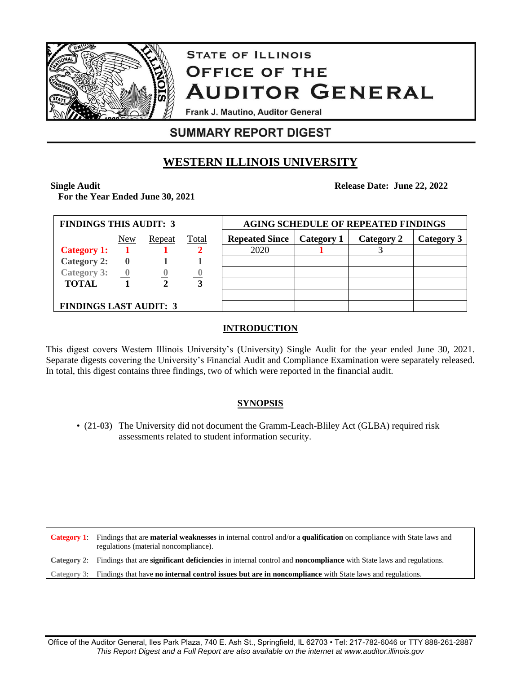

# **STATE OF ILLINOIS OFFICE OF THE AUDITOR GENERAL**

Frank J. Mautino, Auditor General

## **SUMMARY REPORT DIGEST**

## **WESTERN ILLINOIS UNIVERSITY**

#### **Single Audit**

**For the Year Ended June 30, 2021**

| <b>FINDINGS THIS AUDIT: 3</b> |              |        |       | <b>AGING SCHEDULE OF REPEATED FINDINGS</b> |            |            |            |
|-------------------------------|--------------|--------|-------|--------------------------------------------|------------|------------|------------|
|                               | New          | Repeat | Total | <b>Repeated Since</b>                      | Category 1 | Category 2 | Category 3 |
| <b>Category 1:</b>            |              |        |       | 2020                                       |            |            |            |
| <b>Category 2:</b>            | $\mathbf{0}$ |        |       |                                            |            |            |            |
| Category 3:                   |              |        |       |                                            |            |            |            |
| <b>TOTAL</b>                  |              |        | 3     |                                            |            |            |            |
|                               |              |        |       |                                            |            |            |            |
| <b>FINDINGS LAST AUDIT: 3</b> |              |        |       |                                            |            |            |            |

#### **INTRODUCTION**

This digest covers Western Illinois University's (University) Single Audit for the year ended June 30, 2021. Separate digests covering the University's Financial Audit and Compliance Examination were separately released. In total, this digest contains three findings, two of which were reported in the financial audit.

#### **SYNOPSIS**

• (**21-03**) The University did not document the Gramm-Leach-Bliley Act (GLBA) required risk assessments related to student information security.

**Category 1**: Findings that are **material weaknesses** in internal control and/or a **qualification** on compliance with State laws and regulations (material noncompliance). **Category 2**: Findings that are **significant deficiencies** in internal control and **noncompliance** with State laws and regulations. **Category 3**: Findings that have **no internal control issues but are in noncompliance** with State laws and regulations.

**Release Date: June 22, 2022**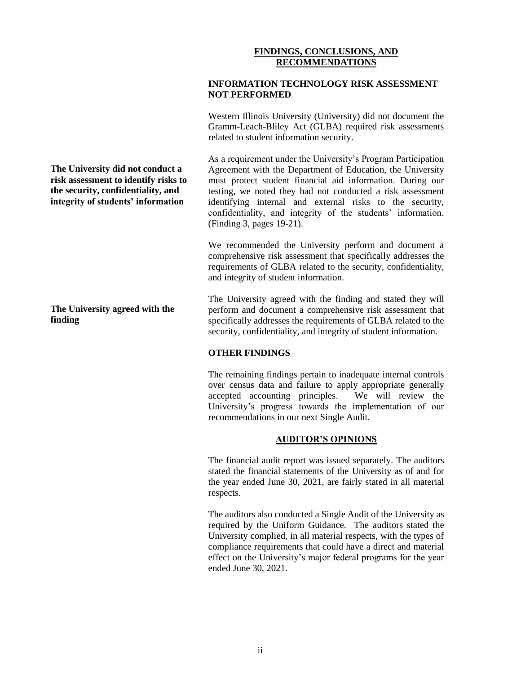#### **FINDINGS, CONCLUSIONS, AND RECOMMENDATIONS**

#### **INFORMATION TECHNOLOGY RISK ASSESSMENT NOT PERFORMED**

Western Illinois University (University) did not document the Gramm-Leach-Bliley Act (GLBA) required risk assessments related to student information security.

As a requirement under the University's Program Participation Agreement with the Department of Education, the University must protect student financial aid information. During our testing, we noted they had not conducted a risk assessment identifying internal and external risks to the security, confidentiality, and integrity of the students' information. (Finding 3, pages 19-21).

We recommended the University perform and document a comprehensive risk assessment that specifically addresses the requirements of GLBA related to the security, confidentiality, and integrity of student information.

The University agreed with the finding and stated they will perform and document a comprehensive risk assessment that specifically addresses the requirements of GLBA related to the security, confidentiality, and integrity of student information.

#### **OTHER FINDINGS**

The remaining findings pertain to inadequate internal controls over census data and failure to apply appropriate generally<br>accepted accounting principles. We will review the accepted accounting principles. University's progress towards the implementation of our recommendations in our next Single Audit.

#### **AUDITOR'S OPINIONS**

The financial audit report was issued separately. The auditors stated the financial statements of the University as of and for the year ended June 30, 2021, are fairly stated in all material respects.

The auditors also conducted a Single Audit of the University as required by the Uniform Guidance. The auditors stated the University complied, in all material respects, with the types of compliance requirements that could have a direct and material effect on the University's major federal programs for the year ended June 30, 2021.

**The University did not conduct a risk assessment to identify risks to the security, confidentiality, and integrity of students' information**

**The University agreed with the finding**